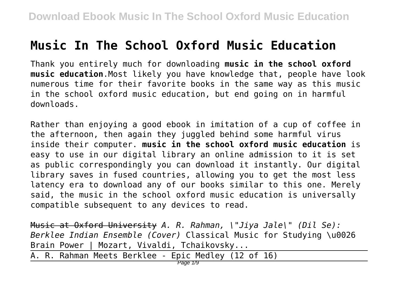## **Music In The School Oxford Music Education**

Thank you entirely much for downloading **music in the school oxford music education**.Most likely you have knowledge that, people have look numerous time for their favorite books in the same way as this music in the school oxford music education, but end going on in harmful downloads.

Rather than enjoying a good ebook in imitation of a cup of coffee in the afternoon, then again they juggled behind some harmful virus inside their computer. **music in the school oxford music education** is easy to use in our digital library an online admission to it is set as public correspondingly you can download it instantly. Our digital library saves in fused countries, allowing you to get the most less latency era to download any of our books similar to this one. Merely said, the music in the school oxford music education is universally compatible subsequent to any devices to read.

Music at Oxford University *A. R. Rahman, \"Jiya Jale\" (Dil Se): Berklee Indian Ensemble (Cover)* Classical Music for Studying \u0026 Brain Power | Mozart, Vivaldi, Tchaikovsky...

A. R. Rahman Meets Berklee - Epic Medley (12 of 16)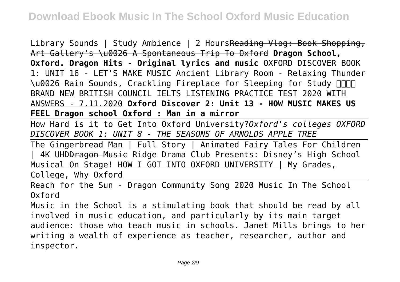Library Sounds | Study Ambience | 2 HoursReading Vlog: Book Shopping, Art Gallery's \u0026 A Spontaneous Trip To Oxford **Dragon School, Oxford. Dragon Hits - Original lyrics and music** OXFORD DISCOVER BOOK 1: UNIT 16 - LET'S MAKE MUSIC Ancient Library Room - Relaxing Thunder \u0026 Rain Sounds, Crackling Fireplace for Sleeping for Study BRAND NEW BRITISH COUNCIL IELTS LISTENING PRACTICE TEST 2020 WITH ANSWERS - 7.11.2020 **Oxford Discover 2: Unit 13 - HOW MUSIC MAKES US FEEL Dragon school Oxford : Man in a mirror**

How Hard is it to Get Into Oxford University?*Oxford's colleges OXFORD DISCOVER BOOK 1: UNIT 8 - THE SEASONS OF ARNOLDS APPLE TREE*

The Gingerbread Man | Full Story | Animated Fairy Tales For Children | 4K UHD<del>Dragon Music</del> Ridge Drama Club Presents: Disney's High School Musical On Stage! HOW I GOT INTO OXFORD UNIVERSITY | My Grades, College, Why Oxford

Reach for the Sun - Dragon Community Song 2020 Music In The School Oxford

Music in the School is a stimulating book that should be read by all involved in music education, and particularly by its main target audience: those who teach music in schools. Janet Mills brings to her writing a wealth of experience as teacher, researcher, author and inspector.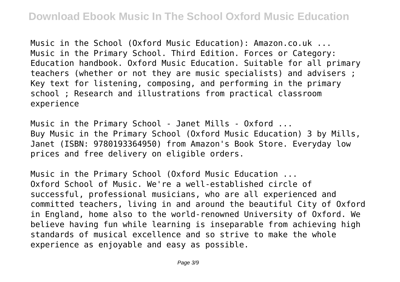Music in the School (Oxford Music Education): Amazon.co.uk ... Music in the Primary School. Third Edition. Forces or Category: Education handbook. Oxford Music Education. Suitable for all primary teachers (whether or not they are music specialists) and advisers ; Key text for listening, composing, and performing in the primary school ; Research and illustrations from practical classroom experience

Music in the Primary School - Janet Mills - Oxford ... Buy Music in the Primary School (Oxford Music Education) 3 by Mills, Janet (ISBN: 9780193364950) from Amazon's Book Store. Everyday low prices and free delivery on eligible orders.

Music in the Primary School (Oxford Music Education ... Oxford School of Music. We're a well-established circle of successful, professional musicians, who are all experienced and committed teachers, living in and around the beautiful City of Oxford in England, home also to the world-renowned University of Oxford. We believe having fun while learning is inseparable from achieving high standards of musical excellence and so strive to make the whole experience as enjoyable and easy as possible.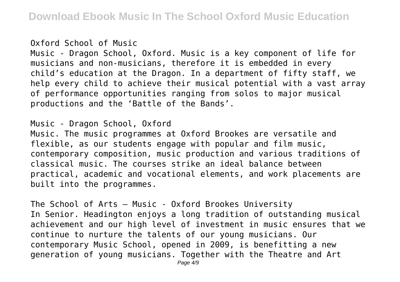## Oxford School of Music

Music - Dragon School, Oxford. Music is a key component of life for musicians and non-musicians, therefore it is embedded in every child's education at the Dragon. In a department of fifty staff, we help every child to achieve their musical potential with a vast array of performance opportunities ranging from solos to major musical productions and the 'Battle of the Bands'.

## Music - Dragon School, Oxford

Music. The music programmes at Oxford Brookes are versatile and flexible, as our students engage with popular and film music, contemporary composition, music production and various traditions of classical music. The courses strike an ideal balance between practical, academic and vocational elements, and work placements are built into the programmes.

The School of Arts – Music - Oxford Brookes University In Senior. Headington enjoys a long tradition of outstanding musical achievement and our high level of investment in music ensures that we continue to nurture the talents of our young musicians. Our contemporary Music School, opened in 2009, is benefitting a new generation of young musicians. Together with the Theatre and Art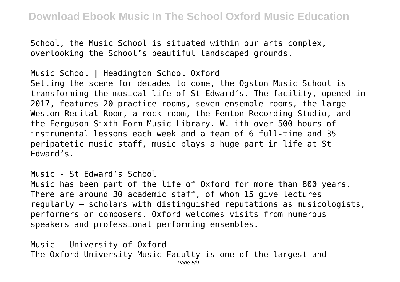School, the Music School is situated within our arts complex, overlooking the School's beautiful landscaped grounds.

Music School | Headington School Oxford Setting the scene for decades to come, the Ogston Music School is transforming the musical life of St Edward's. The facility, opened in 2017, features 20 practice rooms, seven ensemble rooms, the large Weston Recital Room, a rock room, the Fenton Recording Studio, and the Ferguson Sixth Form Music Library. W. ith over 500 hours of instrumental lessons each week and a team of 6 full-time and 35 peripatetic music staff, music plays a huge part in life at St Edward's.

Music - St Edward's School

Music has been part of the life of Oxford for more than 800 years. There are around 30 academic staff, of whom 15 give lectures regularly – scholars with distinguished reputations as musicologists, performers or composers. Oxford welcomes visits from numerous speakers and professional performing ensembles.

Music | University of Oxford The Oxford University Music Faculty is one of the largest and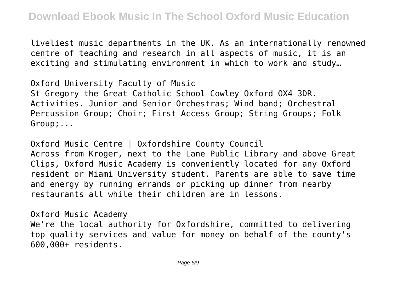liveliest music departments in the UK. As an internationally renowned centre of teaching and research in all aspects of music, it is an exciting and stimulating environment in which to work and study…

Oxford University Faculty of Music St Gregory the Great Catholic School Cowley Oxford OX4 3DR. Activities. Junior and Senior Orchestras; Wind band; Orchestral Percussion Group; Choir; First Access Group; String Groups; Folk Group;...

Oxford Music Centre | Oxfordshire County Council Across from Kroger, next to the Lane Public Library and above Great Clips, Oxford Music Academy is conveniently located for any Oxford resident or Miami University student. Parents are able to save time and energy by running errands or picking up dinner from nearby restaurants all while their children are in lessons.

Oxford Music Academy

We're the local authority for Oxfordshire, committed to delivering top quality services and value for money on behalf of the county's 600,000+ residents.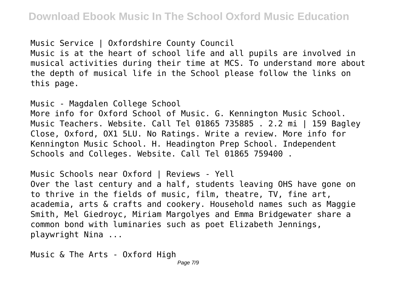Music Service | Oxfordshire County Council

Music is at the heart of school life and all pupils are involved in musical activities during their time at MCS. To understand more about the depth of musical life in the School please follow the links on this page.

Music - Magdalen College School

More info for Oxford School of Music. G. Kennington Music School. Music Teachers. Website. Call Tel 01865 735885 . 2.2 mi | 159 Bagley Close, Oxford, OX1 5LU. No Ratings. Write a review. More info for Kennington Music School. H. Headington Prep School. Independent Schools and Colleges. Website. Call Tel 01865 759400 .

Music Schools near Oxford | Reviews - Yell Over the last century and a half, students leaving OHS have gone on to thrive in the fields of music, film, theatre, TV, fine art, academia, arts & crafts and cookery. Household names such as Maggie Smith, Mel Giedroyc, Miriam Margolyes and Emma Bridgewater share a common bond with luminaries such as poet Elizabeth Jennings, playwright Nina ...

Music & The Arts - Oxford High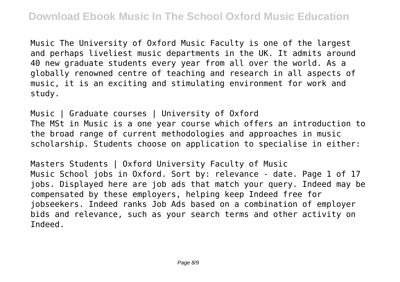Music The University of Oxford Music Faculty is one of the largest and perhaps liveliest music departments in the UK. It admits around 40 new graduate students every year from all over the world. As a globally renowned centre of teaching and research in all aspects of music, it is an exciting and stimulating environment for work and study.

Music | Graduate courses | University of Oxford The MSt in Music is a one year course which offers an introduction to the broad range of current methodologies and approaches in music scholarship. Students choose on application to specialise in either:

Masters Students | Oxford University Faculty of Music Music School jobs in Oxford. Sort by: relevance - date. Page 1 of 17 jobs. Displayed here are job ads that match your query. Indeed may be compensated by these employers, helping keep Indeed free for jobseekers. Indeed ranks Job Ads based on a combination of employer bids and relevance, such as your search terms and other activity on Indeed.